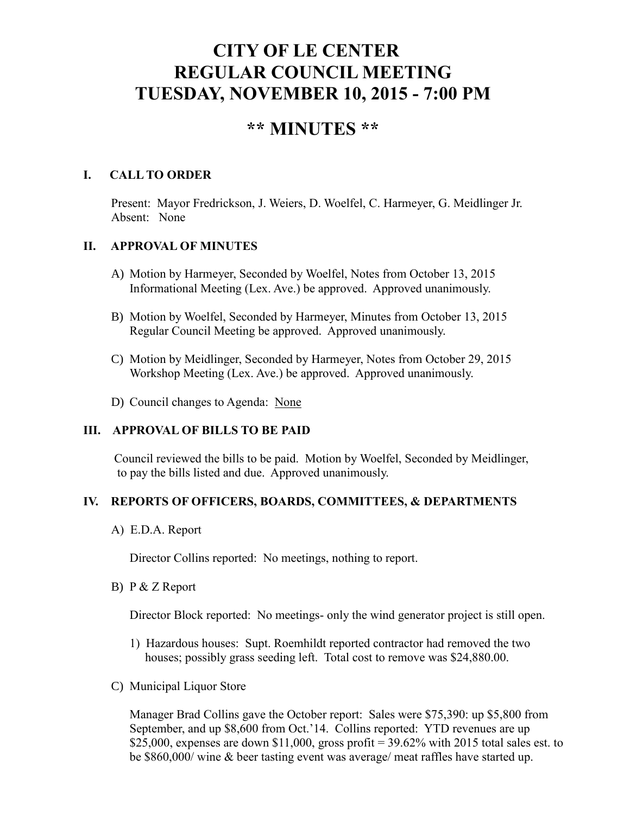# **CITY OF LE CENTER REGULAR COUNCIL MEETING TUESDAY, NOVEMBER 10, 2015 - 7:00 PM**

## **\*\* MINUTES \*\***

#### **I. CALL TO ORDER**

Present: Mayor Fredrickson, J. Weiers, D. Woelfel, C. Harmeyer, G. Meidlinger Jr. Absent: None

#### **II. APPROVAL OF MINUTES**

- A) Motion by Harmeyer, Seconded by Woelfel, Notes from October 13, 2015 Informational Meeting (Lex. Ave.) be approved. Approved unanimously.
- B) Motion by Woelfel, Seconded by Harmeyer, Minutes from October 13, 2015 Regular Council Meeting be approved. Approved unanimously.
- C) Motion by Meidlinger, Seconded by Harmeyer, Notes from October 29, 2015 Workshop Meeting (Lex. Ave.) be approved. Approved unanimously.
- D) Council changes to Agenda: None

#### **III. APPROVAL OF BILLS TO BE PAID**

Council reviewed the bills to be paid. Motion by Woelfel, Seconded by Meidlinger, to pay the bills listed and due. Approved unanimously.

#### **IV. REPORTS OF OFFICERS, BOARDS, COMMITTEES, & DEPARTMENTS**

A) E.D.A. Report

Director Collins reported: No meetings, nothing to report.

B) P & Z Report

Director Block reported: No meetings- only the wind generator project is still open.

- 1) Hazardous houses: Supt. Roemhildt reported contractor had removed the two houses; possibly grass seeding left. Total cost to remove was \$24,880.00.
- C) Municipal Liquor Store

Manager Brad Collins gave the October report: Sales were \$75,390: up \$5,800 from September, and up \$8,600 from Oct.'14. Collins reported: YTD revenues are up \$25,000, expenses are down \$11,000, gross profit =  $39.62\%$  with 2015 total sales est. to be \$860,000/ wine & beer tasting event was average/ meat raffles have started up.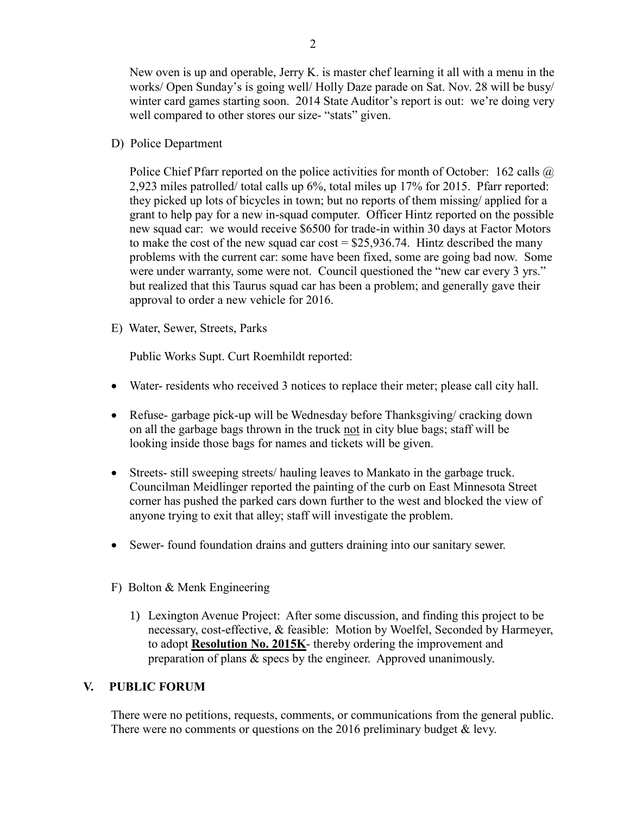New oven is up and operable, Jerry K. is master chef learning it all with a menu in the works/ Open Sunday's is going well/ Holly Daze parade on Sat. Nov. 28 will be busy/ winter card games starting soon. 2014 State Auditor's report is out: we're doing very well compared to other stores our size- "stats" given.

D) Police Department

Police Chief Pfarr reported on the police activities for month of October: 162 calls  $\omega$ 2,923 miles patrolled/ total calls up 6%, total miles up 17% for 2015. Pfarr reported: they picked up lots of bicycles in town; but no reports of them missing/ applied for a grant to help pay for a new in-squad computer. Officer Hintz reported on the possible new squad car: we would receive \$6500 for trade-in within 30 days at Factor Motors to make the cost of the new squad car cost  $= $25,936.74$ . Hintz described the many problems with the current car: some have been fixed, some are going bad now. Some were under warranty, some were not. Council questioned the "new car every 3 yrs." but realized that this Taurus squad car has been a problem; and generally gave their approval to order a new vehicle for 2016.

E) Water, Sewer, Streets, Parks

Public Works Supt. Curt Roemhildt reported:

- Water- residents who received 3 notices to replace their meter; please call city hall.
- Refuse- garbage pick-up will be Wednesday before Thanksgiving/ cracking down on all the garbage bags thrown in the truck not in city blue bags; staff will be looking inside those bags for names and tickets will be given.
- Streets- still sweeping streets/ hauling leaves to Mankato in the garbage truck. Councilman Meidlinger reported the painting of the curb on East Minnesota Street corner has pushed the parked cars down further to the west and blocked the view of anyone trying to exit that alley; staff will investigate the problem.
- Sewer- found foundation drains and gutters draining into our sanitary sewer.
- F) Bolton & Menk Engineering
	- 1) Lexington Avenue Project: After some discussion, and finding this project to be necessary, cost-effective, & feasible: Motion by Woelfel, Seconded by Harmeyer, to adopt **Resolution No. 2015K**- thereby ordering the improvement and preparation of plans & specs by the engineer. Approved unanimously.

#### **V. PUBLIC FORUM**

There were no petitions, requests, comments, or communications from the general public. There were no comments or questions on the 2016 preliminary budget & levy.